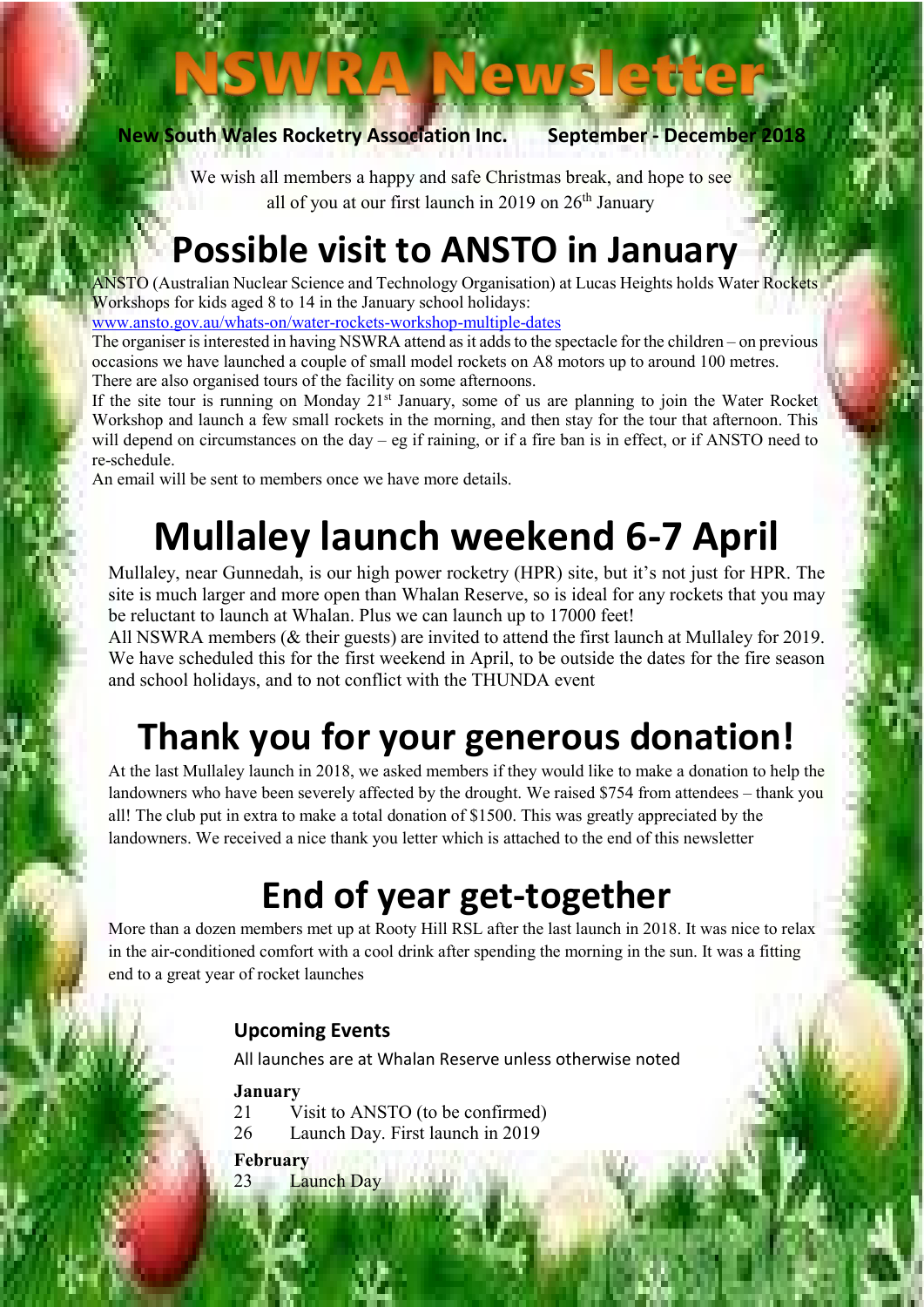New South Wales Rocketry Association Inc. September - December 2018

Ī

We wish all members a happy and safe Christmas break, and hope to see all of you at our first launch in 2019 on  $26<sup>th</sup>$  January

**ews** 

## Possible visit to ANSTO in January

ANSTO (Australian Nuclear Science and Technology Organisation) at Lucas Heights holds Water Rockets Workshops for kids aged 8 to 14 in the January school holidays:

www.ansto.gov.au/whats-on/water-rockets-workshop-multiple-dates

The organiser is interested in having NSWRA attend as it adds to the spectacle for the children – on previous occasions we have launched a couple of small model rockets on A8 motors up to around 100 metres. There are also organised tours of the facility on some afternoons.

If the site tour is running on Monday 21<sup>st</sup> January, some of us are planning to join the Water Rocket Workshop and launch a few small rockets in the morning, and then stay for the tour that afternoon. This will depend on circumstances on the day – eg if raining, or if a fire ban is in effect, or if ANSTO need to re-schedule.

An email will be sent to members once we have more details.

# Mullaley launch weekend 6-7 April

Mullaley, near Gunnedah, is our high power rocketry (HPR) site, but it's not just for HPR. The site is much larger and more open than Whalan Reserve, so is ideal for any rockets that you may be reluctant to launch at Whalan. Plus we can launch up to 17000 feet!

All NSWRA members (& their guests) are invited to attend the first launch at Mullaley for 2019. We have scheduled this for the first weekend in April, to be outside the dates for the fire season and school holidays, and to not conflict with the THUNDA event

## Thank you for your generous donation!

At the last Mullaley launch in 2018, we asked members if they would like to make a donation to help the landowners who have been severely affected by the drought. We raised \$754 from attendees – thank you all! The club put in extra to make a total donation of \$1500. This was greatly appreciated by the landowners. We received a nice thank you letter which is attached to the end of this newsletter

## End of year get-together

More than a dozen members met up at Rooty Hill RSL after the last launch in 2018. It was nice to relax in the air-conditioned comfort with a cool drink after spending the morning in the sun. It was a fitting end to a great year of rocket launches

## Upcoming Events

All launches are at Whalan Reserve unless otherwise noted

#### January

- 21 Visit to ANSTO (to be confirmed)
- 26 Launch Day. First launch in 2019
- February
- 23 Launch Day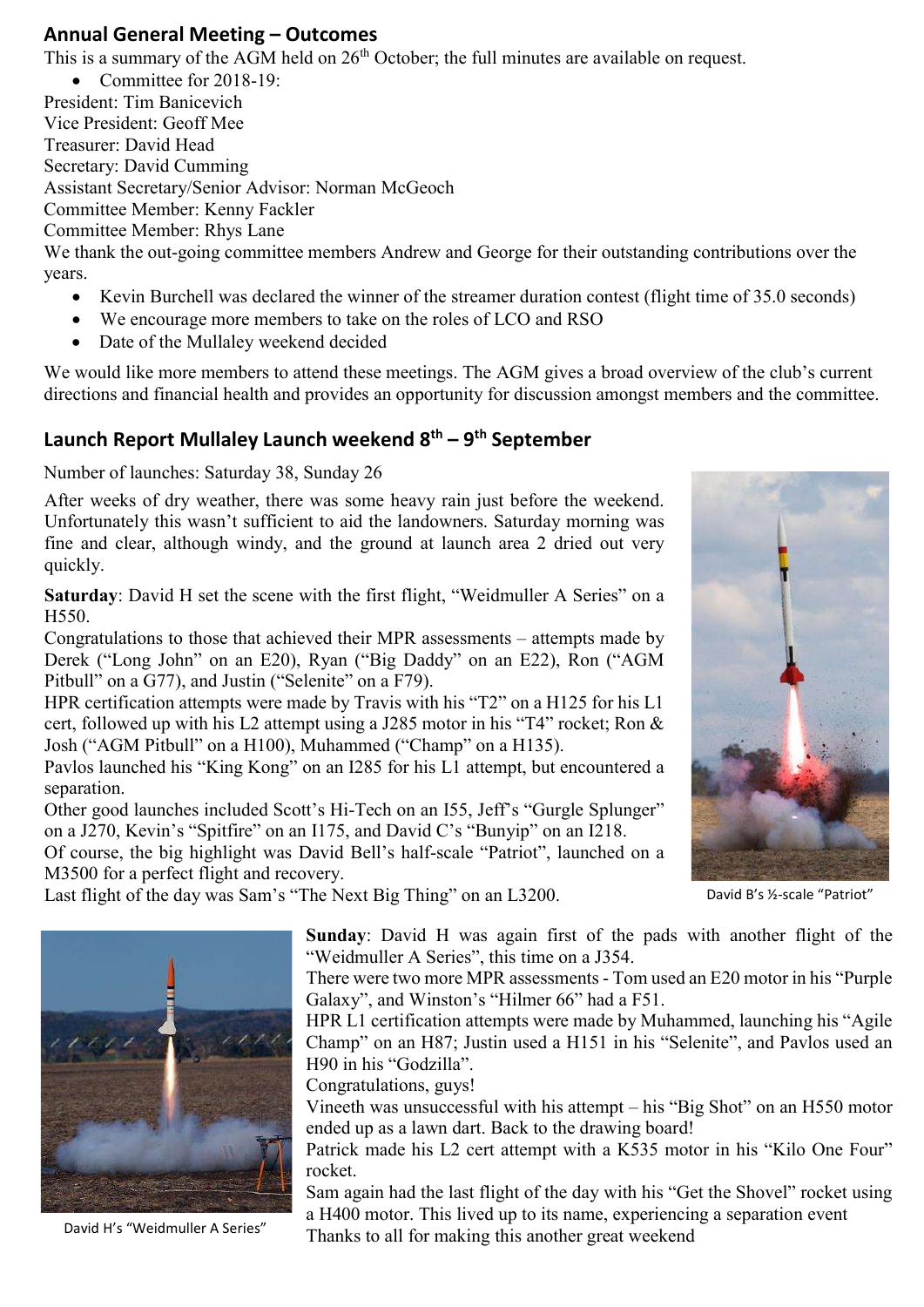### Annual General Meeting – Outcomes

This is a summary of the AGM held on  $26<sup>th</sup>$  October; the full minutes are available on request.

• Committee for 2018-19: President: Tim Banicevich Vice President: Geoff Mee Treasurer: David Head Secretary: David Cumming Assistant Secretary/Senior Advisor: Norman McGeoch Committee Member: Kenny Fackler Committee Member: Rhys Lane We thank the out-going committee members Andrew and George for their outstanding contributions over the years.

- Kevin Burchell was declared the winner of the streamer duration contest (flight time of 35.0 seconds)
- We encourage more members to take on the roles of LCO and RSO
- Date of the Mullaley weekend decided

We would like more members to attend these meetings. The AGM gives a broad overview of the club's current directions and financial health and provides an opportunity for discussion amongst members and the committee.

### Launch Report Mullaley Launch weekend  $8<sup>th</sup> - 9<sup>th</sup>$  September

Number of launches: Saturday 38, Sunday 26

 After weeks of dry weather, there was some heavy rain just before the weekend. Unfortunately this wasn't sufficient to aid the landowners. Saturday morning was fine and clear, although windy, and the ground at launch area 2 dried out very quickly.

Saturday: David H set the scene with the first flight, "Weidmuller A Series" on a H550.

Congratulations to those that achieved their MPR assessments – attempts made by Derek ("Long John" on an E20), Ryan ("Big Daddy" on an E22), Ron ("AGM Pitbull" on a G77), and Justin ("Selenite" on a F79).

HPR certification attempts were made by Travis with his "T2" on a H125 for his L1 cert, followed up with his L2 attempt using a J285 motor in his "T4" rocket; Ron & Josh ("AGM Pitbull" on a H100), Muhammed ("Champ" on a H135).

Pavlos launched his "King Kong" on an I285 for his L1 attempt, but encountered a separation.

Other good launches included Scott's Hi-Tech on an I55, Jeff's "Gurgle Splunger" on a J270, Kevin's "Spitfire" on an I175, and David C's "Bunyip" on an I218.

Of course, the big highlight was David Bell's half-scale "Patriot", launched on a M3500 for a perfect flight and recovery.

Last flight of the day was Sam's "The Next Big Thing" on an L3200. David B's 1/2-scale "Patriot"



Sunday: David H was again first of the pads with another flight of the "Weidmuller A Series", this time on a J354.

There were two more MPR assessments - Tom used an E20 motor in his "Purple Galaxy", and Winston's "Hilmer 66" had a F51.

HPR L1 certification attempts were made by Muhammed, launching his "Agile Champ" on an H87; Justin used a H151 in his "Selenite", and Pavlos used an H90 in his "Godzilla".

Congratulations, guys!

Vineeth was unsuccessful with his attempt – his "Big Shot" on an H550 motor ended up as a lawn dart. Back to the drawing board!

Patrick made his L2 cert attempt with a K535 motor in his "Kilo One Four" rocket.

Sam again had the last flight of the day with his "Get the Shovel" rocket using a H400 motor. This lived up to its name, experiencing a separation event David H's "Weidmuller A Series" Thanks to all for making this another great weekend

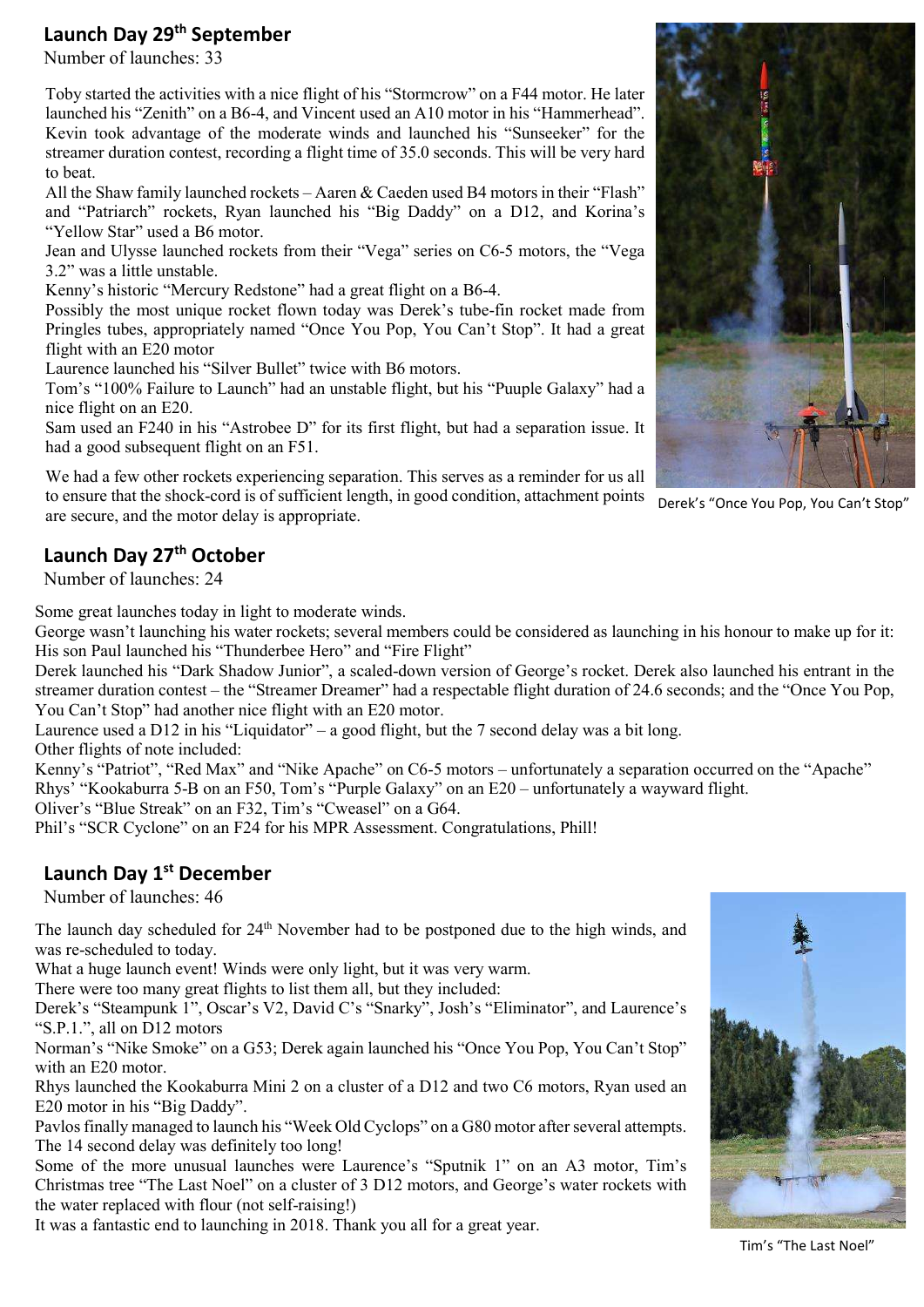### Launch Day 29<sup>th</sup> September

Number of launches: 33

Toby started the activities with a nice flight of his "Stormcrow" on a F44 motor. He later launched his "Zenith" on a B6-4, and Vincent used an A10 motor in his "Hammerhead". Kevin took advantage of the moderate winds and launched his "Sunseeker" for the streamer duration contest, recording a flight time of 35.0 seconds. This will be very hard to beat.

All the Shaw family launched rockets – Aaren & Caeden used B4 motors in their "Flash" and "Patriarch" rockets, Ryan launched his "Big Daddy" on a D12, and Korina's "Yellow Star" used a B6 motor.

Jean and Ulysse launched rockets from their "Vega" series on C6-5 motors, the "Vega 3.2" was a little unstable.

Kenny's historic "Mercury Redstone" had a great flight on a B6-4.

Possibly the most unique rocket flown today was Derek's tube-fin rocket made from Pringles tubes, appropriately named "Once You Pop, You Can't Stop". It had a great flight with an E20 motor

Laurence launched his "Silver Bullet" twice with B6 motors.

Tom's "100% Failure to Launch" had an unstable flight, but his "Puuple Galaxy" had a nice flight on an E20.

Sam used an F240 in his "Astrobee D" for its first flight, but had a separation issue. It had a good subsequent flight on an F51.

We had a few other rockets experiencing separation. This serves as a reminder for us all to ensure that the shock-cord is of sufficient length, in good condition, attachment points are secure, and the motor delay is appropriate.

## Launch Day 27<sup>th</sup> October

Number of launches: 24

Some great launches today in light to moderate winds.

George wasn't launching his water rockets; several members could be considered as launching in his honour to make up for it: His son Paul launched his "Thunderbee Hero" and "Fire Flight"

Derek launched his "Dark Shadow Junior", a scaled-down version of George's rocket. Derek also launched his entrant in the streamer duration contest – the "Streamer Dreamer" had a respectable flight duration of 24.6 seconds; and the "Once You Pop, You Can't Stop" had another nice flight with an E20 motor.

Laurence used a D12 in his "Liquidator" – a good flight, but the 7 second delay was a bit long. Other flights of note included:

Kenny's "Patriot", "Red Max" and "Nike Apache" on C6-5 motors – unfortunately a separation occurred on the "Apache" Rhys' "Kookaburra 5-B on an F50, Tom's "Purple Galaxy" on an E20 – unfortunately a wayward flight.

Oliver's "Blue Streak" on an F32, Tim's "Cweasel" on a G64.

Phil's "SCR Cyclone" on an F24 for his MPR Assessment. Congratulations, Phill!

### Launch Day 1<sup>st</sup> December

Number of launches: 46

The launch day scheduled for 24<sup>th</sup> November had to be postponed due to the high winds, and was re-scheduled to today.

What a huge launch event! Winds were only light, but it was very warm.

There were too many great flights to list them all, but they included:

Derek's "Steampunk 1", Oscar's V2, David C's "Snarky", Josh's "Eliminator", and Laurence's "S.P.1.", all on D12 motors

Norman's "Nike Smoke" on a G53; Derek again launched his "Once You Pop, You Can't Stop" with an E20 motor.

Rhys launched the Kookaburra Mini 2 on a cluster of a D12 and two C6 motors, Ryan used an E20 motor in his "Big Daddy".

Pavlos finally managed to launch his "Week Old Cyclops" on a G80 motor after several attempts. The 14 second delay was definitely too long!

Some of the more unusual launches were Laurence's "Sputnik 1" on an A3 motor, Tim's Christmas tree "The Last Noel" on a cluster of 3 D12 motors, and George's water rockets with the water replaced with flour (not self-raising!)

It was a fantastic end to launching in 2018. Thank you all for a great year.



Derek's "Once You Pop, You Can't Stop"



Tim's "The Last Noel"